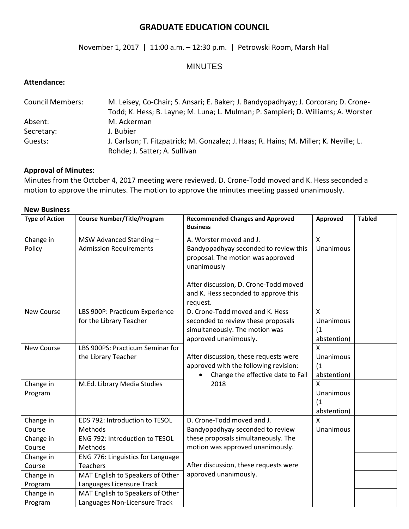# **GRADUATE EDUCATION COUNCIL**

## November 1, 2017 | 11:00 a.m. – 12:30 p.m. | Petrowski Room, Marsh Hall

### MINUTES

#### **Attendance:**

| <b>Council Members:</b> | M. Leisey, Co-Chair; S. Ansari; E. Baker; J. Bandyopadhyay; J. Corcoran; D. Crone-    |  |  |
|-------------------------|---------------------------------------------------------------------------------------|--|--|
|                         | Todd; K. Hess; B. Layne; M. Luna; L. Mulman; P. Sampieri; D. Williams; A. Worster     |  |  |
| Absent:                 | M. Ackerman                                                                           |  |  |
| Secretary:              | J. Bubier                                                                             |  |  |
| Guests:                 | J. Carlson; T. Fitzpatrick; M. Gonzalez; J. Haas; R. Hains; M. Miller; K. Neville; L. |  |  |
|                         | Rohde; J. Satter; A. Sullivan                                                         |  |  |

# **Approval of Minutes:**

Minutes from the October 4, 2017 meeting were reviewed. D. Crone-Todd moved and K. Hess seconded a motion to approve the minutes. The motion to approve the minutes meeting passed unanimously.

| <b>Type of Action</b> | <b>Course Number/Title/Program</b>                                | <b>Recommended Changes and Approved</b><br><b>Business</b>                                                                                                                                                        | Approved                             | <b>Tabled</b> |
|-----------------------|-------------------------------------------------------------------|-------------------------------------------------------------------------------------------------------------------------------------------------------------------------------------------------------------------|--------------------------------------|---------------|
| Change in<br>Policy   | MSW Advanced Standing -<br><b>Admission Requirements</b>          | A. Worster moved and J.<br>Bandyopadhyay seconded to review this<br>proposal. The motion was approved<br>unanimously<br>After discussion, D. Crone-Todd moved<br>and K. Hess seconded to approve this<br>request. | X<br>Unanimous                       |               |
| <b>New Course</b>     | LBS 900P: Practicum Experience<br>for the Library Teacher         | D. Crone-Todd moved and K. Hess<br>seconded to review these proposals<br>simultaneously. The motion was<br>approved unanimously.                                                                                  | X<br>Unanimous<br>(1)<br>abstention) |               |
| <b>New Course</b>     | LBS 900PS: Practicum Seminar for<br>the Library Teacher           | After discussion, these requests were<br>approved with the following revision:<br>Change the effective date to Fall                                                                                               | X<br>Unanimous<br>(1)<br>abstention) |               |
| Change in<br>Program  | M.Ed. Library Media Studies                                       | 2018                                                                                                                                                                                                              | X<br>Unanimous<br>(1)<br>abstention) |               |
| Change in<br>Course   | EDS 792: Introduction to TESOL<br>Methods                         | D. Crone-Todd moved and J.<br>Bandyopadhyay seconded to review                                                                                                                                                    | X<br>Unanimous                       |               |
| Change in<br>Course   | ENG 792: Introduction to TESOL<br>Methods                         | these proposals simultaneously. The<br>motion was approved unanimously.                                                                                                                                           |                                      |               |
| Change in<br>Course   | ENG 776: Linguistics for Language<br><b>Teachers</b>              | After discussion, these requests were                                                                                                                                                                             |                                      |               |
| Change in<br>Program  | MAT English to Speakers of Other<br>Languages Licensure Track     | approved unanimously.                                                                                                                                                                                             |                                      |               |
| Change in<br>Program  | MAT English to Speakers of Other<br>Languages Non-Licensure Track |                                                                                                                                                                                                                   |                                      |               |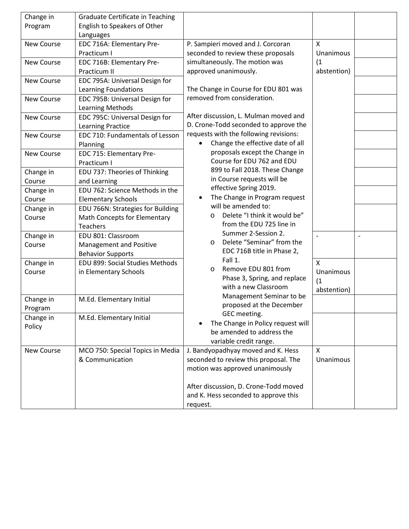| Change in  | <b>Graduate Certificate in Teaching</b> |                                                      |                    |                          |
|------------|-----------------------------------------|------------------------------------------------------|--------------------|--------------------------|
| Program    | English to Speakers of Other            |                                                      |                    |                          |
|            | Languages                               |                                                      |                    |                          |
| New Course | EDC 716A: Elementary Pre-               | P. Sampieri moved and J. Corcoran                    | X                  |                          |
|            | Practicum I                             | seconded to review these proposals                   | Unanimous          |                          |
| New Course | EDC 716B: Elementary Pre-               | simultaneously. The motion was                       | (1)                |                          |
|            | Practicum II                            | approved unanimously.                                | abstention)        |                          |
| New Course | EDC 795A: Universal Design for          |                                                      |                    |                          |
|            | <b>Learning Foundations</b>             | The Change in Course for EDU 801 was                 |                    |                          |
| New Course | EDC 795B: Universal Design for          | removed from consideration.                          |                    |                          |
|            | <b>Learning Methods</b>                 |                                                      |                    |                          |
| New Course | EDC 795C: Universal Design for          | After discussion, L. Mulman moved and                |                    |                          |
|            | Learning Practice                       | D. Crone-Todd seconded to approve the                |                    |                          |
| New Course | EDC 710: Fundamentals of Lesson         | requests with the following revisions:               |                    |                          |
|            | Planning                                | Change the effective date of all                     |                    |                          |
| New Course | EDC 715: Elementary Pre-                | proposals except the Change in                       |                    |                          |
|            | Practicum I                             | Course for EDU 762 and EDU                           |                    |                          |
| Change in  | EDU 737: Theories of Thinking           | 899 to Fall 2018. These Change                       |                    |                          |
| Course     | and Learning                            | in Course requests will be                           |                    |                          |
| Change in  | EDU 762: Science Methods in the         | effective Spring 2019.                               |                    |                          |
| Course     | <b>Elementary Schools</b>               | The Change in Program request                        |                    |                          |
| Change in  | EDU 766N: Strategies for Building       | will be amended to:                                  |                    |                          |
| Course     | Math Concepts for Elementary            | Delete "I think it would be"<br>O                    |                    |                          |
|            | <b>Teachers</b>                         | from the EDU 725 line in                             |                    |                          |
| Change in  | EDU 801: Classroom                      | Summer 2-Session 2.                                  | $\sim$             | $\overline{\phantom{a}}$ |
| Course     | <b>Management and Positive</b>          | Delete "Seminar" from the<br>O                       |                    |                          |
|            | <b>Behavior Supports</b>                | EDC 716B title in Phase 2,                           |                    |                          |
| Change in  | EDU 899: Social Studies Methods         | Fall 1.                                              | $\pmb{\mathsf{X}}$ |                          |
| Course     | in Elementary Schools                   | Remove EDU 801 from<br>O                             | Unanimous          |                          |
|            |                                         | Phase 3, Spring, and replace<br>with a new Classroom | (1)                |                          |
|            |                                         | Management Seminar to be                             | abstention)        |                          |
| Change in  | M.Ed. Elementary Initial                | proposed at the December                             |                    |                          |
| Program    |                                         | GEC meeting.                                         |                    |                          |
| Change in  | M.Ed. Elementary Initial                | The Change in Policy request will                    |                    |                          |
| Policy     |                                         | be amended to address the                            |                    |                          |
|            |                                         | variable credit range.                               |                    |                          |
| New Course | MCO 750: Special Topics in Media        | J. Bandyopadhyay moved and K. Hess                   | $\mathsf{X}$       |                          |
|            | & Communication                         | seconded to review this proposal. The                | Unanimous          |                          |
|            |                                         | motion was approved unanimously                      |                    |                          |
|            |                                         |                                                      |                    |                          |
|            |                                         | After discussion, D. Crone-Todd moved                |                    |                          |
|            |                                         | and K. Hess seconded to approve this                 |                    |                          |
|            |                                         | request.                                             |                    |                          |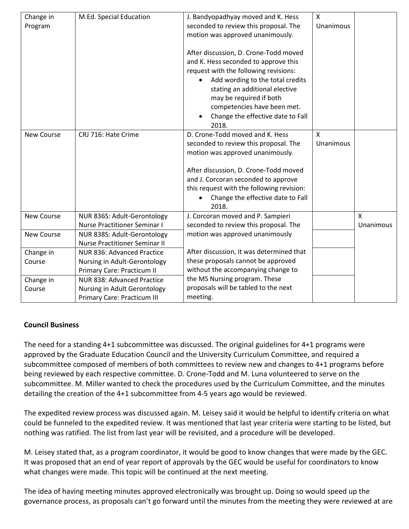| Change in         | M.Ed. Special Education              | J. Bandyopadhyay moved and K. Hess        | $\mathsf{x}$ |              |
|-------------------|--------------------------------------|-------------------------------------------|--------------|--------------|
| Program           |                                      | seconded to review this proposal. The     | Unanimous    |              |
|                   |                                      | motion was approved unanimously.          |              |              |
|                   |                                      |                                           |              |              |
|                   |                                      | After discussion, D. Crone-Todd moved     |              |              |
|                   |                                      | and K. Hess seconded to approve this      |              |              |
|                   |                                      | request with the following revisions:     |              |              |
|                   |                                      | Add wording to the total credits          |              |              |
|                   |                                      | stating an additional elective            |              |              |
|                   |                                      | may be required if both                   |              |              |
|                   |                                      | competencies have been met.               |              |              |
|                   |                                      | Change the effective date to Fall         |              |              |
|                   |                                      | 2018.                                     |              |              |
| <b>New Course</b> | CRJ 716: Hate Crime                  | D. Crone-Todd moved and K. Hess           | $\mathsf{x}$ |              |
|                   |                                      | seconded to review this proposal. The     | Unanimous    |              |
|                   |                                      | motion was approved unanimously.          |              |              |
|                   |                                      |                                           |              |              |
|                   |                                      | After discussion, D. Crone-Todd moved     |              |              |
|                   |                                      | and J. Corcoran seconded to approve       |              |              |
|                   |                                      | this request with the following revision: |              |              |
|                   |                                      | Change the effective date to Fall         |              |              |
|                   |                                      | 2018.                                     |              |              |
| <b>New Course</b> | NUR 836S: Adult-Gerontology          | J. Corcoran moved and P. Sampieri         |              | $\mathsf{x}$ |
|                   | <b>Nurse Practitioner Seminar I</b>  | seconded to review this proposal. The     |              | Unanimous    |
| <b>New Course</b> | NUR 838S: Adult-Gerontology          | motion was approved unanimously           |              |              |
|                   | <b>Nurse Practitioner Seminar II</b> |                                           |              |              |
| Change in         | NUR 836: Advanced Practice           | After discussion, it was determined that  |              |              |
| Course            | Nursing in Adult-Gerontology         | these proposals cannot be approved        |              |              |
|                   | Primary Care: Practicum II           | without the accompanying change to        |              |              |
| Change in         | NUR 838: Advanced Practice           | the MS Nursing program. These             |              |              |
| Course            | Nursing in Adult Gerontology         | proposals will be tabled to the next      |              |              |
|                   | Primary Care: Practicum III          | meeting.                                  |              |              |

# **Council Business**

The need for a standing 4+1 subcommittee was discussed. The original guidelines for 4+1 programs were approved by the Graduate Education Council and the University Curriculum Committee, and required a subcommittee composed of members of both committees to review new and changes to 4+1 programs before being reviewed by each respective committee. D. Crone-Todd and M. Luna volunteered to serve on the subcommittee. M. Miller wanted to check the procedures used by the Curriculum Committee, and the minutes detailing the creation of the 4+1 subcommittee from 4-5 years ago would be reviewed.

The expedited review process was discussed again. M. Leisey said it would be helpful to identify criteria on what could be funneled to the expedited review. It was mentioned that last year criteria were starting to be listed, but nothing was ratified. The list from last year will be revisited, and a procedure will be developed.

M. Leisey stated that, as a program coordinator, it would be good to know changes that were made by the GEC. It was proposed that an end of year report of approvals by the GEC would be useful for coordinators to know what changes were made. This topic will be continued at the next meeting.

The idea of having meeting minutes approved electronically was brought up. Doing so would speed up the governance process, as proposals can't go forward until the minutes from the meeting they were reviewed at are